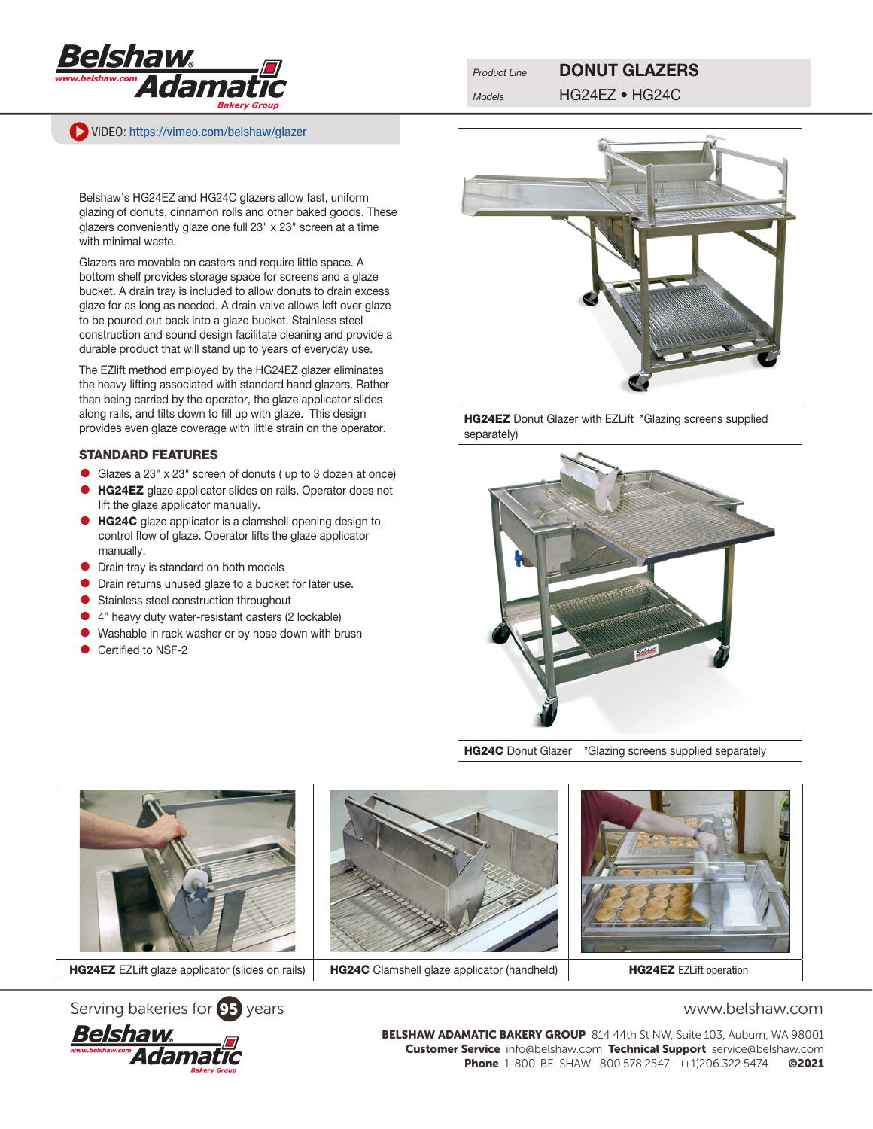

VIDEO: [https://vimeo.com/belshaw/](https://vimeo.com/belshaw/glazer)glazer

# Product Line **DONUT GLAZERS**

Models HG24EZ • HG24C

Belshaw's HG24EZ and HG24C glazers allow fast, uniform glazing of donuts, cinnamon rolls and other baked goods. These glazers conveniently glaze one full 23" x 23" screen at a time with minimal waste.

Glazers are movable on casters and require little space. A bottom shelf provides storage space for screens and a glaze bucket. A drain tray is included to allow donuts to drain excess glaze for as long as needed. A drain valve allows left over glaze to be poured out back into a glaze bucket. Stainless steel construction and sound design facilitate cleaning and provide a durable product that will stand up to years of everyday use.

The EZlift method employed by the HG24EZ glazer eliminates the heavy lifting associated with standard hand glazers. Rather than being carried by the operator, the glaze applicator slides along rails, and tilts down to fill up with glaze. This design provides even glaze coverage with little strain on the operator.

## STANDARD FEATURES

- Glazes a  $23'' \times 23''$  screen of donuts (up to 3 dozen at once)<br>• **HG24F7** glaze applicator slides on rails. Operator does not
- HG24EZ glaze applicator slides on rails. Operator does not lift the glaze applicator manually.
- **HG24C** glaze applicator is a clamshell opening design to control flow of glaze. Operator lifts the glaze applicator manually.
- **•** Drain tray is standard on both models
- **•** Drain returns unused glaze to a bucket for later use.
- **•** Stainless steel construction throughout
- 4" heavy duty water-resistant casters (2 lockable)
- **•** Washable in rack washer or by hose down with brush
- Certified to NSF-2



HG24EZ Donut Glazer with EZLift \*Glazing screens supplied separately)



HG24C Donut Glazer \*Glazing screens supplied separately







BELSHAW ADAMATIC BAKERY GROUP 814 44th St NW, Suite 103, Auburn, WA 98001 Customer Service info@belshaw.com Technical Support service@belshaw.com Phone 1-800-BELSHAW 800.578.2547 (+1)206.322.5474 ©2021